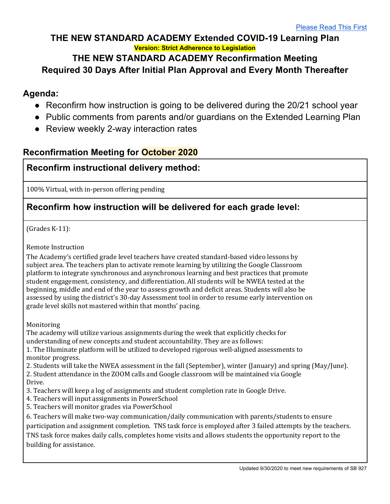### **THE NEW STANDARD ACADEMY Extended COVID-19 Learning Plan Version: Strict Adherence to Legislation**

### **THE NEW STANDARD ACADEMY Reconfirmation Meeting Required 30 Days After Initial Plan Approval and Every Month Thereafter**

## **Agenda:**

- Reconfirm how instruction is going to be delivered during the 20/21 school year
- Public comments from parents and/or guardians on the Extended Learning Plan
- Review weekly 2-way interaction rates

## **Reconfirmation Meeting for October 2020**

## **Reconfirm instructional delivery method:**

100% Virtual, with in-person offering pending

## **Reconfirm how instruction will be delivered for each grade level:**

 $(Grades K-11):$ 

Remote Instruction

The Academy's certified grade level teachers have created standard-based video lessons by subject area. The teachers plan to activate remote learning by utilizing the Google Classroom platform to integrate synchronous and asynchronous learning and best practices that promote student engagement, consistency, and differentiation. All students will be NWEA tested at the beginning, middle and end of the year to assess growth and deficit areas. Students will also be assessed by using the district's 30-day Assessment tool in order to resume early intervention on grade level skills not mastered within that months' pacing.

Monitoring

The academy will utilize various assignments during the week that explicitly checks for understanding of new concepts and student accountability. They are as follows:

1. The Illuminate platform will be utilized to developed rigorous well-aligned assessments to monitor progress.

2. Students will take the NWEA assessment in the fall (September), winter (January) and spring (May/June).

2. Student attendance in the ZOOM calls and Google classroom will be maintained via Google Drive.

- 3. Teachers will keep a log of assignments and student completion rate in Google Drive.
- 4. Teachers will input assignments in PowerSchool
- 5. Teachers will monitor grades via PowerSchool

6. Teachers will make two-way communication/daily communication with parents/students to ensure

participation and assignment completion. TNS task force is employed after 3 failed attempts by the teachers.

TNS task force makes daily calls, completes home visits and allows students the opportunity report to the building for assistance.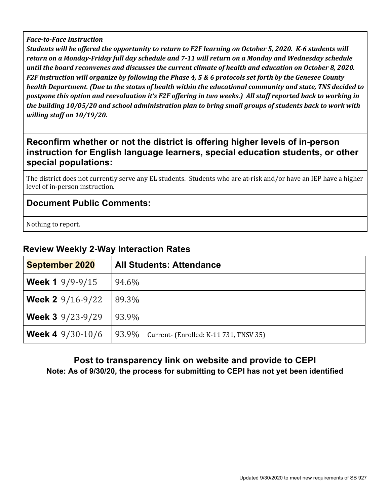#### *Face-to-Face Instruction*

*Students* will be offered the opportunity to return to F2F learning on October 5, 2020. K-6 students will return on a Monday-Friday full day schedule and 7-11 will return on a Monday and Wednesday schedule until the board reconvenes and discusses the current climate of health and education on October 8, 2020. *F2F* instruction will organize by following the Phase 4, 5 & 6 protocols set forth by the Genesee County *health* Department. (Due to the status of health within the educational community and state, TNS decided to *postpone this option and reevaluation it's F2F offering in two weeks.) All staff reported back to working in* the building 10/05/20 and school administration plan to bring small groups of students back to work with *willing staff on 10/19/20.* 

### **Reconfirm whether or not the district is offering higher levels of in-person instruction for English language learners, special education students, or other special populations:**

The district does not currently serve any EL students. Students who are at-risk and/or have an IEP have a higher level of in-person instruction.

#### **Document Public Comments:**

Nothing to report.

### **Review Weekly 2-Way Interaction Rates**

| <b>September 2020</b>     | <b>All Students: Attendance</b>                 |  |
|---------------------------|-------------------------------------------------|--|
| <b>Week 1</b> $9/9-9/15$  | 94.6%                                           |  |
| <b>Week 2</b> $9/16-9/22$ | 89.3%                                           |  |
| <b>Week 3</b> $9/23-9/29$ | 93.9%                                           |  |
| <b>Week 4</b> $9/30-10/6$ | 93.9%<br>Current- (Enrolled: K-11 731, TNSV 35) |  |

#### **Post to transparency link on website and provide to CEPI Note: As of 9/30/20, the process for submitting to CEPI has not yet been identified**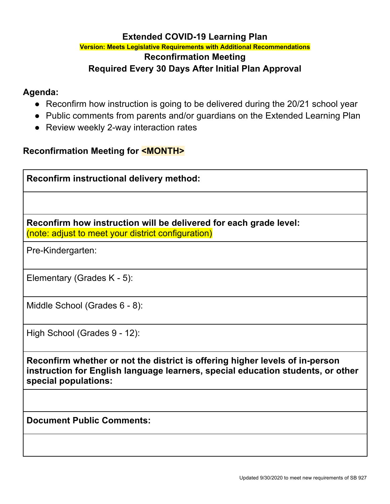#### **Extended COVID-19 Learning Plan Version: Meets Legislative Requirements with Additional Recommendations**

# **Reconfirmation Meeting Required Every 30 Days After Initial Plan Approval**

### **Agenda:**

- Reconfirm how instruction is going to be delivered during the 20/21 school year
- Public comments from parents and/or guardians on the Extended Learning Plan
- Review weekly 2-way interaction rates

## **Reconfirmation Meeting for <MONTH>**

**Reconfirm instructional delivery method:**

**Reconfirm how instruction will be delivered for each grade level:** (note: adjust to meet your district configuration)

Pre-Kindergarten:

Elementary (Grades K - 5):

Middle School (Grades 6 - 8):

High School (Grades 9 - 12):

**Reconfirm whether or not the district is offering higher levels of in-person instruction for English language learners, special education students, or other special populations:**

**Document Public Comments:**